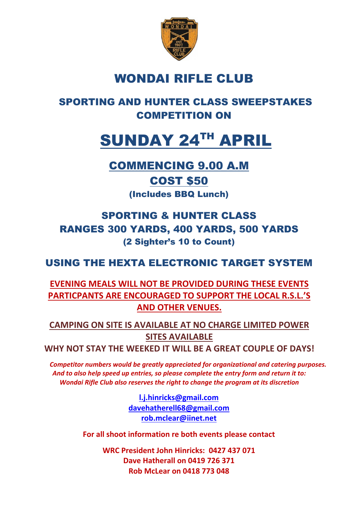

# WONDAI RIFLE CLUB

# SPORTING AND HUNTER CLASS SWEEPSTAKES COMPETITION ON

# SUNDAY 24TH APRIL

## COMMENCING 9.00 A.M

# COST \$50

(Includes BBQ Lunch)

# SPORTING & HUNTER CLASS RANGES 300 YARDS, 400 YARDS, 500 YARDS (2 Sighter's 10 to Count)

## USING THE HEXTA ELECTRONIC TARGET SYSTEM

## **EVENING MEALS WILL NOT BE PROVIDED DURING THESE EVENTS PARTICPANTS ARE ENCOURAGED TO SUPPORT THE LOCAL R.S.L.'S AND OTHER VENUES.**

**CAMPING ON SITE IS AVAILABLE AT NO CHARGE LIMITED POWER SITES AVAILABLE**

**WHY NOT STAY THE WEEKED IT WILL BE A GREAT COUPLE OF DAYS!**

*Competitor numbers would be greatly appreciated for organizational and catering purposes. And to also help speed up entries, so please complete the entry form and return it to: Wondai Rifle Club also reserves the right to change the program at its discretion*

> **[l.j.hinricks@gmail.com](mailto:l.j.hinricks@gmail.com) [davehatherell68@gmail.com](mailto:davehatherell68@gmail.com) [rob.mclear@iinet.net](mailto:rob.mclear@iinet.net)**

**For all shoot information re both events please contact**

**WRC President John Hinricks: 0427 437 071 Dave Hatherall on 0419 726 371 Rob McLear on 0418 773 048**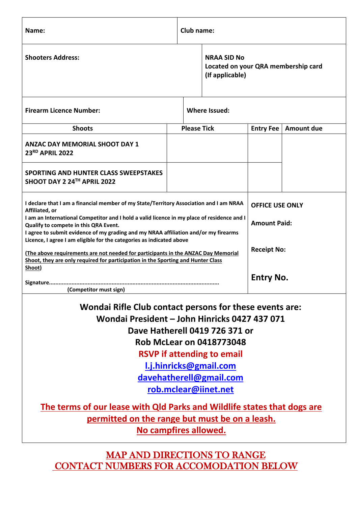| Name:                                                                                                                                                                                                                                                                                                                                                                                                                                                                                                                                                                                                                       |                                       | Club name:         |                                     |                                                                                  |                   |  |
|-----------------------------------------------------------------------------------------------------------------------------------------------------------------------------------------------------------------------------------------------------------------------------------------------------------------------------------------------------------------------------------------------------------------------------------------------------------------------------------------------------------------------------------------------------------------------------------------------------------------------------|---------------------------------------|--------------------|-------------------------------------|----------------------------------------------------------------------------------|-------------------|--|
| <b>Shooters Address:</b>                                                                                                                                                                                                                                                                                                                                                                                                                                                                                                                                                                                                    | <b>NRAA SID No</b><br>(If applicable) |                    | Located on your QRA membership card |                                                                                  |                   |  |
| <b>Firearm Licence Number:</b>                                                                                                                                                                                                                                                                                                                                                                                                                                                                                                                                                                                              | <b>Where Issued:</b>                  |                    |                                     |                                                                                  |                   |  |
| <b>Shoots</b>                                                                                                                                                                                                                                                                                                                                                                                                                                                                                                                                                                                                               |                                       | <b>Please Tick</b> |                                     | <b>Entry Fee</b>                                                                 | <b>Amount due</b> |  |
| <b>ANZAC DAY MEMORIAL SHOOT DAY 1</b><br>23RD APRIL 2022                                                                                                                                                                                                                                                                                                                                                                                                                                                                                                                                                                    |                                       |                    |                                     |                                                                                  |                   |  |
| SPORTING AND HUNTER CLASS SWEEPSTAKES<br>SHOOT DAY 2 24TH APRIL 2022                                                                                                                                                                                                                                                                                                                                                                                                                                                                                                                                                        |                                       |                    |                                     |                                                                                  |                   |  |
| I declare that I am a financial member of my State/Territory Association and I am NRAA<br>Affiliated, or<br>I am an International Competitor and I hold a valid licence in my place of residence and I<br>Qualify to compete in this QRA Event.<br>I agree to submit evidence of my grading and my NRAA affiliation and/or my firearms<br>Licence, I agree I am eligible for the categories as indicated above<br>(The above requirements are not needed for participants in the ANZAC Day Memorial<br>Shoot, they are only required for participation in the Sporting and Hunter Class<br>Shoot)<br>(Competitor must sign) |                                       |                    |                                     | <b>OFFICE USE ONLY</b><br><b>Amount Paid:</b><br><b>Receipt No:</b><br>Entry No. |                   |  |
| Wondai Rifle Club contact persons for these events are:<br>Wondai President - John Hinricks 0427 437 071<br>Dave Hatherell 0419 726 371 or<br><b>Rob McLear on 0418773048</b><br><b>RSVP</b> if attending to email<br>l.j.hinricks@gmail.com<br>davehatherell@gmail.com<br>rob.mclear@iinet.net<br>The terms of our lease with Qld Parks and Wildlife states that dogs are<br>permitted on the range but must be on a leash.<br>No campfires allowed.                                                                                                                                                                       |                                       |                    |                                     |                                                                                  |                   |  |
|                                                                                                                                                                                                                                                                                                                                                                                                                                                                                                                                                                                                                             |                                       |                    |                                     |                                                                                  |                   |  |

MAP AND DIRECTIONS TO RANGE CONTACT NUMBERS FOR ACCOMODATION BELOW